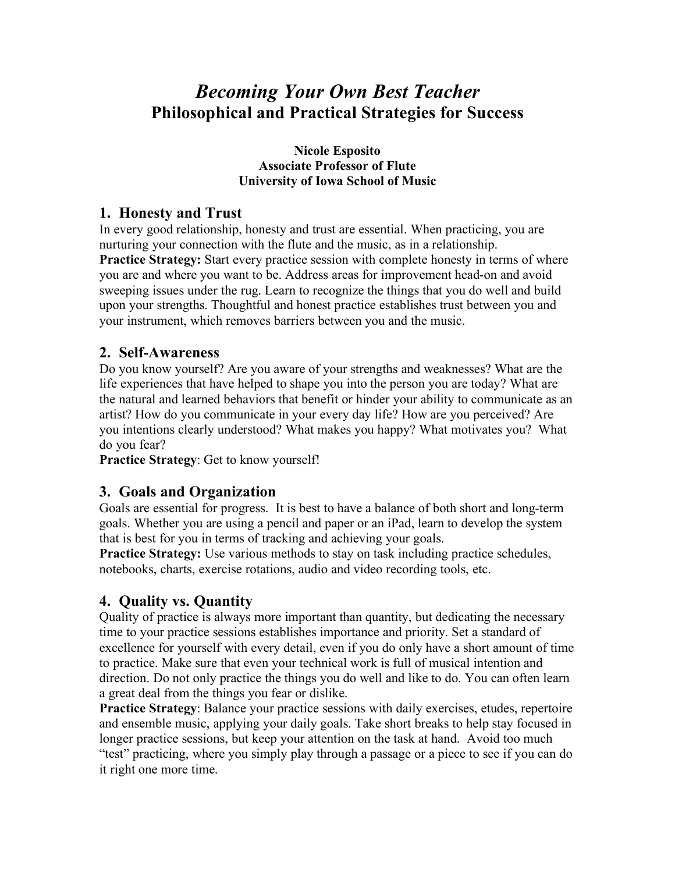# *Becoming Your Own Best Teacher* **Philosophical and Practical Strategies for Success**

**Nicole Esposito Associate Professor of Flute University of Iowa School of Music** 

#### **1. Honesty and Trust**

In every good relationship, honesty and trust are essential. When practicing, you are nurturing your connection with the flute and the music, as in a relationship. **Practice Strategy:** Start every practice session with complete honesty in terms of where you are and where you want to be. Address areas for improvement head-on and avoid sweeping issues under the rug. Learn to recognize the things that you do well and build upon your strengths. Thoughtful and honest practice establishes trust between you and your instrument, which removes barriers between you and the music.

#### **2. Self-Awareness**

Do you know yourself? Are you aware of your strengths and weaknesses? What are the life experiences that have helped to shape you into the person you are today? What are the natural and learned behaviors that benefit or hinder your ability to communicate as an artist? How do you communicate in your every day life? How are you perceived? Are you intentions clearly understood? What makes you happy? What motivates you? What do you fear?

**Practice Strategy**: Get to know yourself!

### **3. Goals and Organization**

Goals are essential for progress. It is best to have a balance of both short and long-term goals. Whether you are using a pencil and paper or an iPad, learn to develop the system that is best for you in terms of tracking and achieving your goals.

**Practice Strategy:** Use various methods to stay on task including practice schedules, notebooks, charts, exercise rotations, audio and video recording tools, etc.

### **4. Quality vs. Quantity**

Quality of practice is always more important than quantity, but dedicating the necessary time to your practice sessions establishes importance and priority. Set a standard of excellence for yourself with every detail, even if you do only have a short amount of time to practice. Make sure that even your technical work is full of musical intention and direction. Do not only practice the things you do well and like to do. You can often learn a great deal from the things you fear or dislike.

**Practice Strategy**: Balance your practice sessions with daily exercises, etudes, repertoire and ensemble music, applying your daily goals. Take short breaks to help stay focused in longer practice sessions, but keep your attention on the task at hand. Avoid too much "test" practicing, where you simply play through a passage or a piece to see if you can do it right one more time.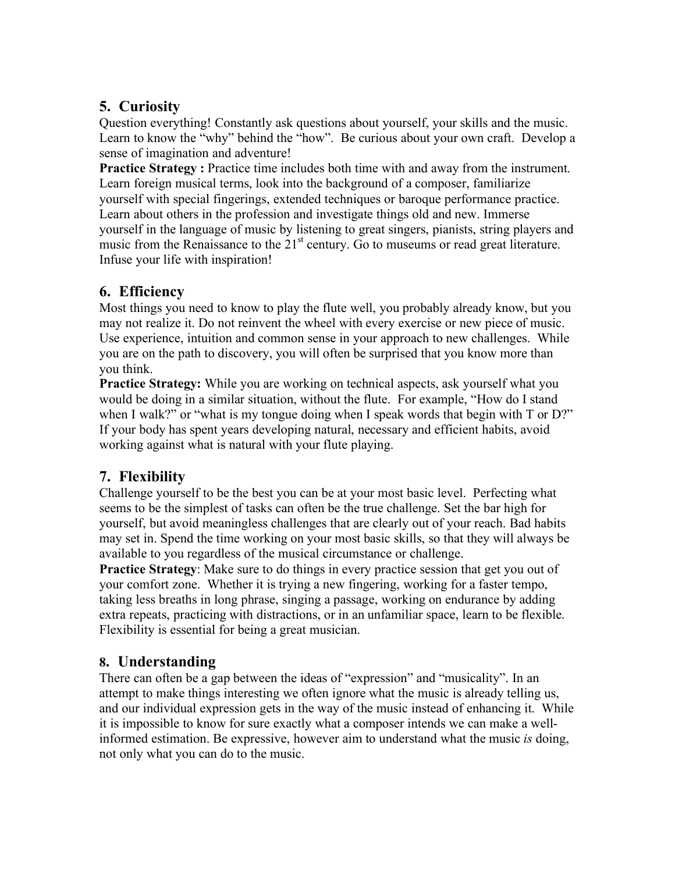# **5. Curiosity**

Question everything! Constantly ask questions about yourself, your skills and the music. Learn to know the "why" behind the "how". Be curious about your own craft. Develop a sense of imagination and adventure!

**Practice Strategy :** Practice time includes both time with and away from the instrument. Learn foreign musical terms, look into the background of a composer, familiarize yourself with special fingerings, extended techniques or baroque performance practice. Learn about others in the profession and investigate things old and new. Immerse yourself in the language of music by listening to great singers, pianists, string players and music from the Renaissance to the 21<sup>st</sup> century. Go to museums or read great literature. Infuse your life with inspiration!

### **6. Efficiency**

Most things you need to know to play the flute well, you probably already know, but you may not realize it. Do not reinvent the wheel with every exercise or new piece of music. Use experience, intuition and common sense in your approach to new challenges. While you are on the path to discovery, you will often be surprised that you know more than you think.

**Practice Strategy:** While you are working on technical aspects, ask yourself what you would be doing in a similar situation, without the flute. For example, "How do I stand when I walk?" or "what is my tongue doing when I speak words that begin with  $T$  or  $D$ ?" If your body has spent years developing natural, necessary and efficient habits, avoid working against what is natural with your flute playing.

# **7. Flexibility**

Challenge yourself to be the best you can be at your most basic level. Perfecting what seems to be the simplest of tasks can often be the true challenge. Set the bar high for yourself, but avoid meaningless challenges that are clearly out of your reach. Bad habits may set in. Spend the time working on your most basic skills, so that they will always be available to you regardless of the musical circumstance or challenge.

**Practice Strategy**: Make sure to do things in every practice session that get you out of your comfort zone. Whether it is trying a new fingering, working for a faster tempo, taking less breaths in long phrase, singing a passage, working on endurance by adding extra repeats, practicing with distractions, or in an unfamiliar space, learn to be flexible. Flexibility is essential for being a great musician.

### **8. Understanding**

There can often be a gap between the ideas of "expression" and "musicality". In an attempt to make things interesting we often ignore what the music is already telling us, and our individual expression gets in the way of the music instead of enhancing it. While it is impossible to know for sure exactly what a composer intends we can make a wellinformed estimation. Be expressive, however aim to understand what the music *is* doing, not only what you can do to the music.